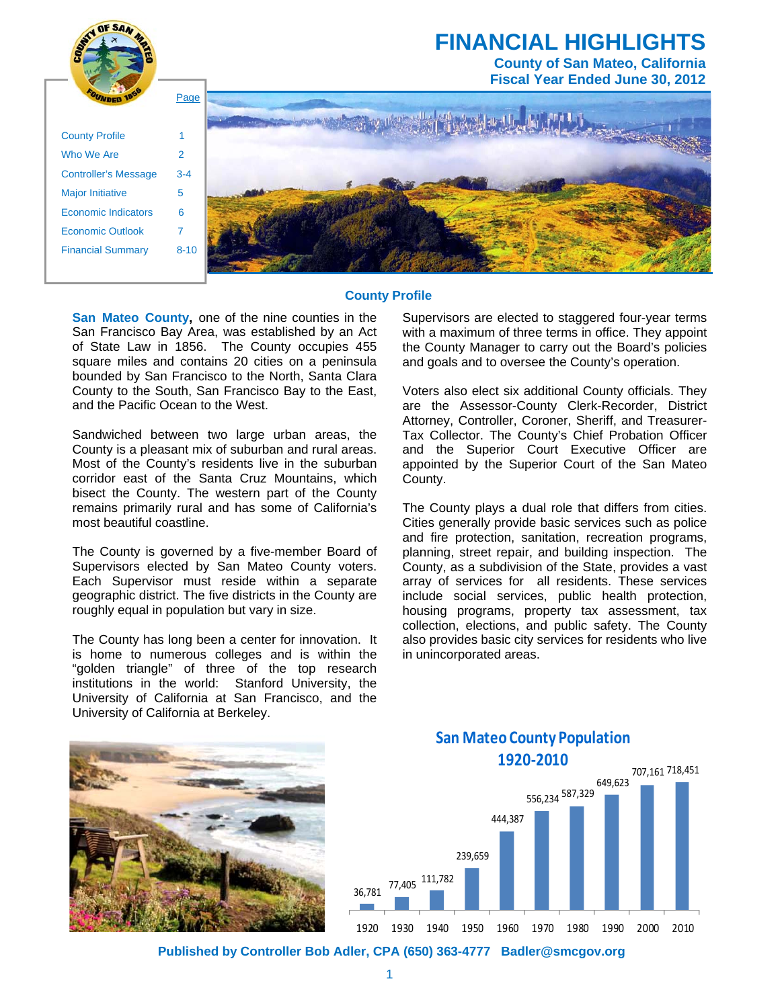

#### **County Profile**

**San Mateo County,** one of the nine counties in the San Francisco Bay Area, was established by an Act of State Law in 1856. The County occupies 455 square miles and contains 20 cities on a peninsula bounded by San Francisco to the North, Santa Clara County to the South, San Francisco Bay to the East, and the Pacific Ocean to the West.

Sandwiched between two large urban areas, the County is a pleasant mix of suburban and rural areas. Most of the County's residents live in the suburban corridor east of the Santa Cruz Mountains, which bisect the County. The western part of the County remains primarily rural and has some of California's most beautiful coastline.

The County is governed by a five-member Board of Supervisors elected by San Mateo County voters. Each Supervisor must reside within a separate geographic district. The five districts in the County are roughly equal in population but vary in size.

The County has long been a center for innovation. It is home to numerous colleges and is within the "golden triangle" of three of the top research institutions in the world: Stanford University, the University of California at San Francisco, and the University of California at Berkeley.

Supervisors are elected to staggered four-year terms with a maximum of three terms in office. They appoint the County Manager to carry out the Board's policies and goals and to oversee the County's operation.

Voters also elect six additional County officials. They are the Assessor-County Clerk-Recorder, District Attorney, Controller, Coroner, Sheriff, and Treasurer-Tax Collector. The County's Chief Probation Officer and the Superior Court Executive Officer are appointed by the Superior Court of the San Mateo County.

The County plays a dual role that differs from cities. Cities generally provide basic services such as police and fire protection, sanitation, recreation programs, planning, street repair, and building inspection. The County, as a subdivision of the State, provides a vast array of services for all residents. These services include social services, public health protection, housing programs, property tax assessment, tax collection, elections, and public safety. The County also provides basic city services for residents who live in unincorporated areas.



## 36,781 77,405 111,782 239,659 444,387 556,234 587,329 649,623 707,161 718,451 **San Mateo County Population 1920‐2010**

1920 1930 1940 1950 1960 1970 1980 1990 2000 2010

**Published by Controller Bob Adler, CPA (650) 363-4777 Badler@smcgov.org**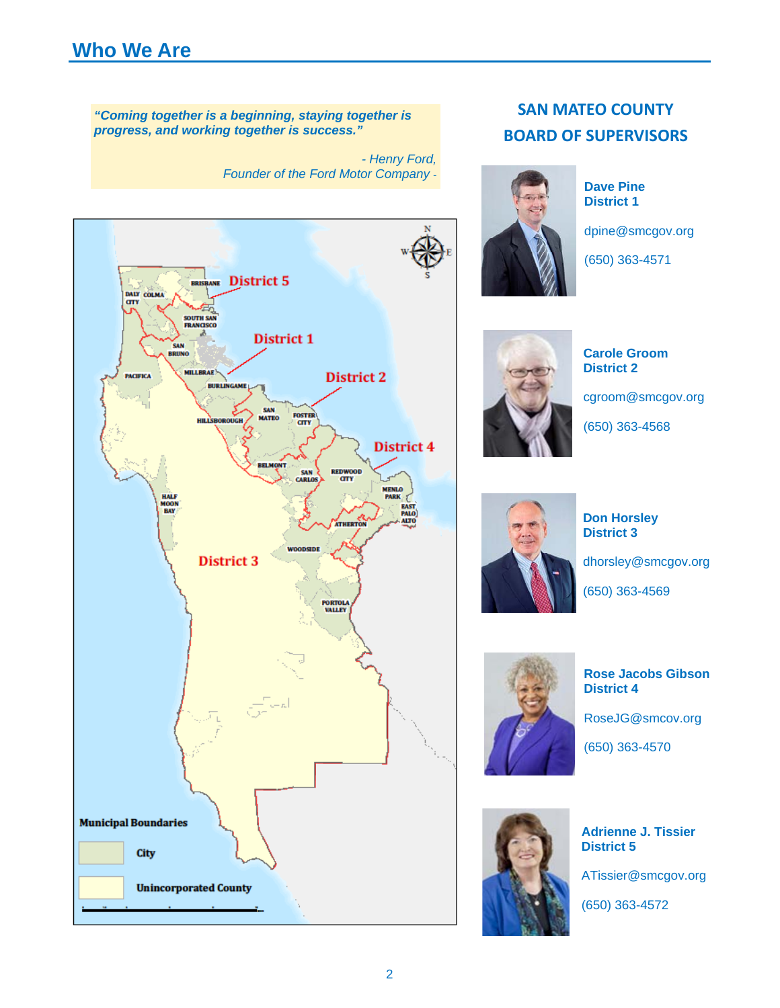# **Who We Are**

*"Coming together is a beginning, staying together is progress, and working together is success."* 

> *- Henry Ford, Founder of the Ford Motor Company* -



# **SAN MATEO COUNTY BOARD OF SUPERVISORS**



**Dave Pine District 1** 

dpine@smcgov.org

(650) 363-4571



**Carole Groom District 2** 

cgroom@smcgov.org

(650) 363-4568



**Don Horsley District 3** 

dhorsley@smcgov.org

(650) 363-4569



**Rose Jacobs Gibson District 4** 

RoseJG@smcov.org

(650) 363-4570



**Adrienne J. Tissier District 5** 

ATissier@smcgov.org

(650) 363-4572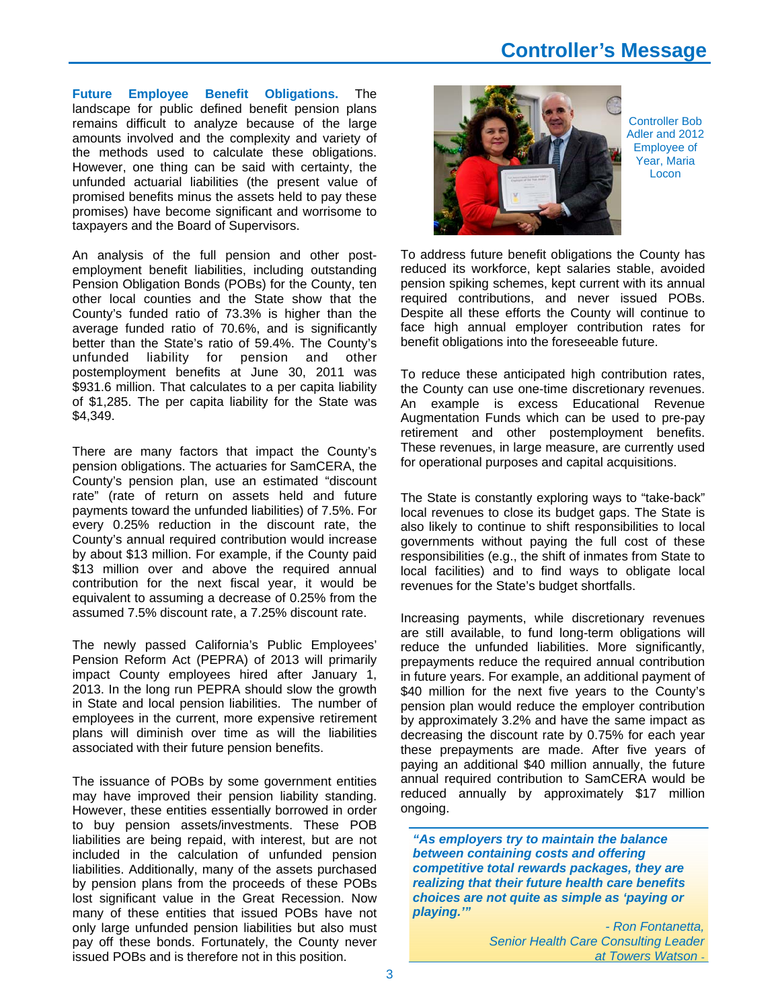# **Controller's Message**

**Future Employee Benefit Obligations.** The landscape for public defined benefit pension plans remains difficult to analyze because of the large amounts involved and the complexity and variety of the methods used to calculate these obligations. However, one thing can be said with certainty, the unfunded actuarial liabilities (the present value of promised benefits minus the assets held to pay these promises) have become significant and worrisome to taxpayers and the Board of Supervisors.

An analysis of the full pension and other postemployment benefit liabilities, including outstanding Pension Obligation Bonds (POBs) for the County, ten other local counties and the State show that the County's funded ratio of 73.3% is higher than the average funded ratio of 70.6%, and is significantly better than the State's ratio of 59.4%. The County's unfunded liability for pension and other postemployment benefits at June 30, 2011 was \$931.6 million. That calculates to a per capita liability of \$1,285. The per capita liability for the State was \$4,349.

There are many factors that impact the County's pension obligations. The actuaries for SamCERA, the County's pension plan, use an estimated "discount rate" (rate of return on assets held and future payments toward the unfunded liabilities) of 7.5%. For every 0.25% reduction in the discount rate, the County's annual required contribution would increase by about \$13 million. For example, if the County paid \$13 million over and above the required annual contribution for the next fiscal year, it would be equivalent to assuming a decrease of 0.25% from the assumed 7.5% discount rate, a 7.25% discount rate.

The newly passed California's Public Employees' Pension Reform Act (PEPRA) of 2013 will primarily impact County employees hired after January 1, 2013. In the long run PEPRA should slow the growth in State and local pension liabilities. The number of employees in the current, more expensive retirement plans will diminish over time as will the liabilities associated with their future pension benefits.

The issuance of POBs by some government entities may have improved their pension liability standing. However, these entities essentially borrowed in order to buy pension assets/investments. These POB liabilities are being repaid, with interest, but are not included in the calculation of unfunded pension liabilities. Additionally, many of the assets purchased by pension plans from the proceeds of these POBs lost significant value in the Great Recession. Now many of these entities that issued POBs have not only large unfunded pension liabilities but also must pay off these bonds. Fortunately, the County never issued POBs and is therefore not in this position.



Controller Bob Adler and 2012 Employee of Year, Maria Locon

To address future benefit obligations the County has reduced its workforce, kept salaries stable, avoided pension spiking schemes, kept current with its annual required contributions, and never issued POBs. Despite all these efforts the County will continue to face high annual employer contribution rates for benefit obligations into the foreseeable future.

To reduce these anticipated high contribution rates, the County can use one-time discretionary revenues. An example is excess Educational Revenue Augmentation Funds which can be used to pre-pay retirement and other postemployment benefits. These revenues, in large measure, are currently used for operational purposes and capital acquisitions.

The State is constantly exploring ways to "take-back" local revenues to close its budget gaps. The State is also likely to continue to shift responsibilities to local governments without paying the full cost of these responsibilities (e.g., the shift of inmates from State to local facilities) and to find ways to obligate local revenues for the State's budget shortfalls.

Increasing payments, while discretionary revenues are still available, to fund long-term obligations will reduce the unfunded liabilities. More significantly, prepayments reduce the required annual contribution in future years. For example, an additional payment of \$40 million for the next five years to the County's pension plan would reduce the employer contribution by approximately 3.2% and have the same impact as decreasing the discount rate by 0.75% for each year these prepayments are made. After five years of paying an additional \$40 million annually, the future annual required contribution to SamCERA would be reduced annually by approximately \$17 million ongoing.

*"As employers try to maintain the balance between containing costs and offering competitive total rewards packages, they are realizing that their future health care benefits choices are not quite as simple as 'paying or playing.'"*

> *- Ron Fontanetta, Senior Health Care Consulting Leader at Towers Watson* -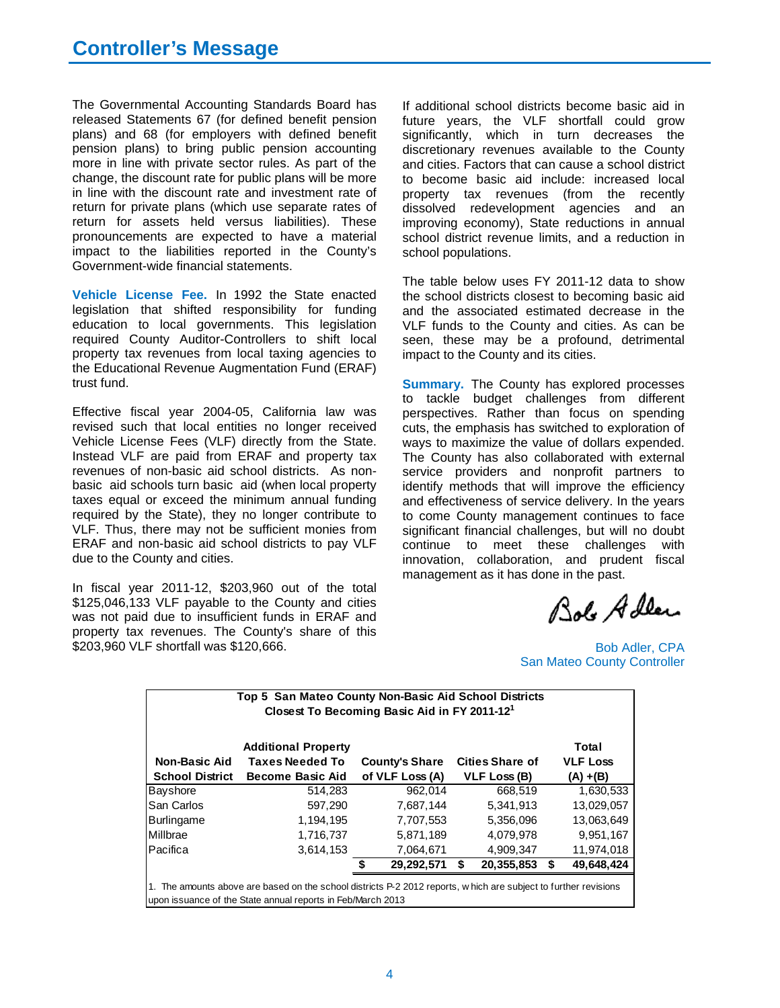The Governmental Accounting Standards Board has released Statements 67 (for defined benefit pension plans) and 68 (for employers with defined benefit pension plans) to bring public pension accounting more in line with private sector rules. As part of the change, the discount rate for public plans will be more in line with the discount rate and investment rate of return for private plans (which use separate rates of return for assets held versus liabilities). These pronouncements are expected to have a material impact to the liabilities reported in the County's Government-wide financial statements.

**Vehicle License Fee.** In 1992 the State enacted legislation that shifted responsibility for funding education to local governments. This legislation required County Auditor-Controllers to shift local property tax revenues from local taxing agencies to the Educational Revenue Augmentation Fund (ERAF) trust fund.

Effective fiscal year 2004-05, California law was revised such that local entities no longer received Vehicle License Fees (VLF) directly from the State. Instead VLF are paid from ERAF and property tax revenues of non-basic aid school districts. As nonbasic aid schools turn basic aid (when local property taxes equal or exceed the minimum annual funding required by the State), they no longer contribute to VLF. Thus, there may not be sufficient monies from ERAF and non-basic aid school districts to pay VLF due to the County and cities.

In fiscal year 2011-12, \$203,960 out of the total \$125,046,133 VLF payable to the County and cities was not paid due to insufficient funds in ERAF and property tax revenues. The County's share of this \$203,960 VLF shortfall was \$120,666.

If additional school districts become basic aid in future years, the VLF shortfall could grow significantly, which in turn decreases the discretionary revenues available to the County and cities. Factors that can cause a school district to become basic aid include: increased local property tax revenues (from the recently dissolved redevelopment agencies and an improving economy), State reductions in annual school district revenue limits, and a reduction in school populations.

The table below uses FY 2011-12 data to show the school districts closest to becoming basic aid and the associated estimated decrease in the VLF funds to the County and cities. As can be seen, these may be a profound, detrimental impact to the County and its cities.

**Summary.** The County has explored processes to tackle budget challenges from different perspectives. Rather than focus on spending cuts, the emphasis has switched to exploration of ways to maximize the value of dollars expended. The County has also collaborated with external service providers and nonprofit partners to identify methods that will improve the efficiency and effectiveness of service delivery. In the years to come County management continues to face significant financial challenges, but will no doubt continue to meet these challenges with innovation, collaboration, and prudent fiscal management as it has done in the past.

Bolo Adley

Bob Adler, CPA San Mateo County Controller

|                        | <b>Additional Property</b> |                       |                        | Total            |
|------------------------|----------------------------|-----------------------|------------------------|------------------|
| <b>Non-Basic Aid</b>   | Taxes Needed To            | <b>County's Share</b> | <b>Cities Share of</b> | <b>VLF Loss</b>  |
| <b>School District</b> | <b>Become Basic Aid</b>    | of VLF Loss (A)       | VLF Loss (B)           | $(A) + (B)$      |
| Bayshore               | 514,283                    | 962.014               | 668.519                | 1,630,533        |
| <b>San Carlos</b>      | 597,290                    | 7,687,144             | 5,341,913              | 13,029,057       |
| Burlingame             | 1,194,195                  | 7,707,553             | 5,356,096              | 13,063,649       |
| <b>Millbrae</b>        | 1.716.737                  | 5,871,189             | 4.079.978              | 9,951,167        |
| Pacifica               | 3,614,153                  | 7,064,671             | 4,909,347              | 11,974,018       |
|                        |                            | 29,292,571            | \$<br>20,355,853       | \$<br>49,648,424 |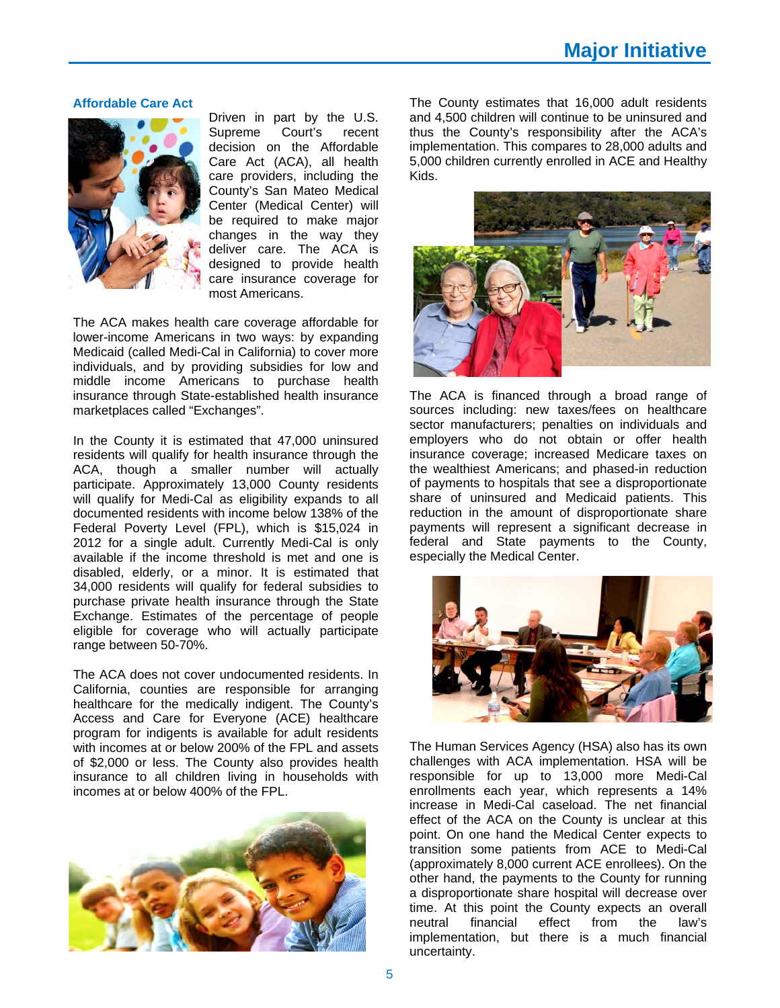#### **Affordable Care Act**



Driven in part by the U.S. Supreme Court's recent decision on the Affordable Care Act (ACA), all health care providers, including the County's San Mateo Medical Center (Medical Center) will be required to make major changes in the way they deliver care. The ACA is designed to provide health care insurance coverage for most Americans.

The ACA makes health care coverage affordable for lower-income Americans in two ways: by expanding Medicaid (called Medi-Cal in California) to cover more individuals, and by providing subsidies for low and middle income Americans to purchase health insurance through State-established health insurance marketplaces called "Exchanges".

In the County it is estimated that 47,000 uninsured residents will qualify for health insurance through the ACA, though a smaller number will actually participate. Approximately 13,000 County residents will qualify for Medi-Cal as eligibility expands to all documented residents with income below 138% of the Federal Poverty Level (FPL), which is \$15,024 in 2012 for a single adult. Currently Medi-Cal is only available if the income threshold is met and one is disabled, elderly, or a minor. It is estimated that 34,000 residents will qualify for federal subsidies to purchase private health insurance through the State Exchange. Estimates of the percentage of people eligible for coverage who will actually participate range between 50-70%.

The ACA does not cover undocumented residents. In California, counties are responsible for arranging healthcare for the medically indigent. The County's Access and Care for Everyone (ACE) healthcare program for indigents is available for adult residents with incomes at or below 200% of the FPL and assets of \$2,000 or less. The County also provides health insurance to all children living in households with incomes at or below 400% of the FPL.



The County estimates that 16,000 adult residents and 4,500 children will continue to be uninsured and thus the County's responsibility after the ACA's implementation. This compares to 28,000 adults and 5,000 children currently enrolled in ACE and Healthy Kids.



The ACA is financed through a broad range of sources including: new taxes/fees on healthcare sector manufacturers; penalties on individuals and employers who do not obtain or offer health insurance coverage; increased Medicare taxes on the wealthiest Americans; and phased-in reduction of payments to hospitals that see a disproportionate share of uninsured and Medicaid patients. This reduction in the amount of disproportionate share payments will represent a significant decrease in federal and State payments to the County, especially the Medical Center.



The Human Services Agency (HSA) also has its own challenges with ACA implementation. HSA will be responsible for up to 13,000 more Medi-Cal enrollments each year, which represents a 14% increase in Medi-Cal caseload. The net financial effect of the ACA on the County is unclear at this point. On one hand the Medical Center expects to transition some patients from ACE to Medi-Cal (approximately 8,000 current ACE enrollees). On the other hand, the payments to the County for running a disproportionate share hospital will decrease over time. At this point the County expects an overall neutral financial effect from the law's implementation, but there is a much financial uncertainty.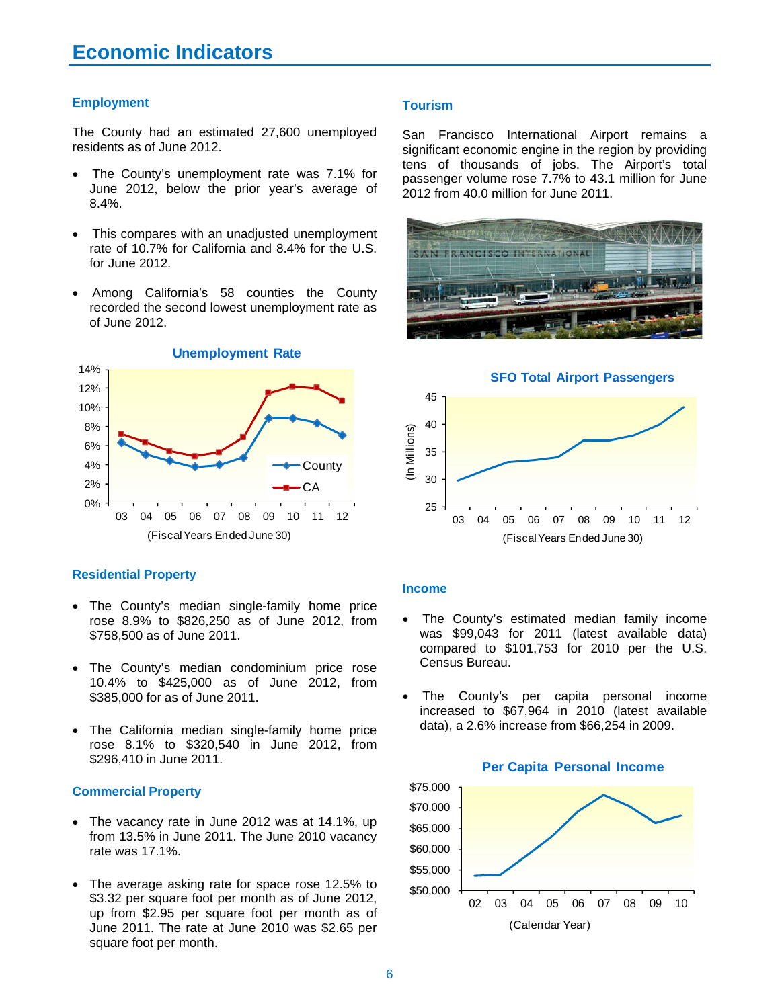### **Employment**

The County had an estimated 27,600 unemployed residents as of June 2012.

- The County's unemployment rate was 7.1% for June 2012, below the prior year's average of 8.4%.
- This compares with an unadjusted unemployment rate of 10.7% for California and 8.4% for the U.S. for June 2012.
- Among California's 58 counties the County recorded the second lowest unemployment rate as of June 2012.



#### **Residential Property**

- The County's median single-family home price rose 8.9% to \$826,250 as of June 2012, from \$758,500 as of June 2011.
- The County's median condominium price rose 10.4% to \$425,000 as of June 2012, from \$385,000 for as of June 2011.
- The California median single-family home price rose 8.1% to \$320,540 in June 2012, from \$296,410 in June 2011.

### **Commercial Property**

- The vacancy rate in June 2012 was at 14.1%, up from 13.5% in June 2011. The June 2010 vacancy rate was 17.1%.
- The average asking rate for space rose 12.5% to \$3.32 per square foot per month as of June 2012, up from \$2.95 per square foot per month as of June 2011. The rate at June 2010 was \$2.65 per square foot per month.

#### **Tourism**

San Francisco International Airport remains a significant economic engine in the region by providing tens of thousands of jobs. The Airport's total passenger volume rose 7.7% to 43.1 million for June 2012 from 40.0 million for June 2011.







#### **Income**

- The County's estimated median family income was \$99,043 for 2011 (latest available data) compared to \$101,753 for 2010 per the U.S. Census Bureau.
- The County's per capita personal income increased to \$67,964 in 2010 (latest available data), a 2.6% increase from \$66,254 in 2009.

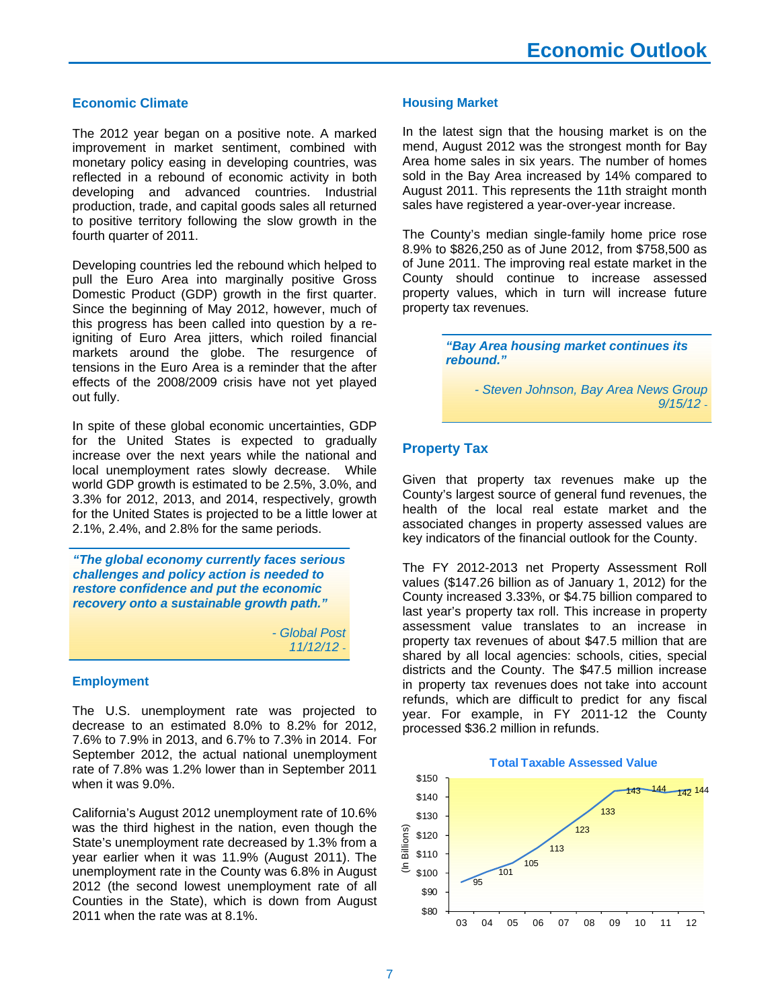### **Economic Climate**

The 2012 year began on a positive note. A marked improvement in market sentiment, combined with monetary policy easing in developing countries, was reflected in a rebound of economic activity in both developing and advanced countries. Industrial production, trade, and capital goods sales all returned to positive territory following the slow growth in the fourth quarter of 2011.

Developing countries led the rebound which helped to pull the Euro Area into marginally positive Gross Domestic Product (GDP) growth in the first quarter. Since the beginning of May 2012, however, much of this progress has been called into question by a reigniting of Euro Area jitters, which roiled financial markets around the globe. The resurgence of tensions in the Euro Area is a reminder that the after effects of the 2008/2009 crisis have not yet played out fully.

In spite of these global economic uncertainties, GDP for the United States is expected to gradually increase over the next years while the national and local unemployment rates slowly decrease. While world GDP growth is estimated to be 2.5%, 3.0%, and 3.3% for 2012, 2013, and 2014, respectively, growth for the United States is projected to be a little lower at 2.1%, 2.4%, and 2.8% for the same periods.

*"The global economy currently faces serious challenges and policy action is needed to restore confidence and put the economic recovery onto a sustainable growth path."* 

> *- Global Post 11/12/12* -

#### **Employment**

The U.S. unemployment rate was projected to decrease to an estimated 8.0% to 8.2% for 2012, 7.6% to 7.9% in 2013, and 6.7% to 7.3% in 2014. For September 2012, the actual national unemployment rate of 7.8% was 1.2% lower than in September 2011 when it was 9.0%.

California's August 2012 unemployment rate of 10.6% was the third highest in the nation, even though the State's unemployment rate decreased by 1.3% from a year earlier when it was 11.9% (August 2011). The unemployment rate in the County was 6.8% in August 2012 (the second lowest unemployment rate of all Counties in the State), which is down from August 2011 when the rate was at 8.1%.

#### **Housing Market**

In the latest sign that the housing market is on the mend, August 2012 was the strongest month for Bay Area home sales in six years. The number of homes sold in the Bay Area increased by 14% compared to August 2011. This represents the 11th straight month sales have registered a year-over-year increase.

The County's median single-family home price rose 8.9% to \$826,250 as of June 2012, from \$758,500 as of June 2011. The improving real estate market in the County should continue to increase assessed property values, which in turn will increase future property tax revenues.

> *"Bay Area housing market continues its rebound."*

> > *- Steven Johnson, Bay Area News Group 9/15/12* -

### **Property Tax**

Given that property tax revenues make up the County's largest source of general fund revenues, the health of the local real estate market and the associated changes in property assessed values are key indicators of the financial outlook for the County.

The FY 2012-2013 net Property Assessment Roll values (\$147.26 billion as of January 1, 2012) for the County increased 3.33%, or \$4.75 billion compared to last year's property tax roll. This increase in property assessment value translates to an increase in property tax revenues of about \$47.5 million that are shared by all local agencies: schools, cities, special districts and the County. The \$47.5 million increase in property tax revenues does not take into account refunds, which are difficult to predict for any fiscal year. For example, in FY 2011-12 the County processed \$36.2 million in refunds.

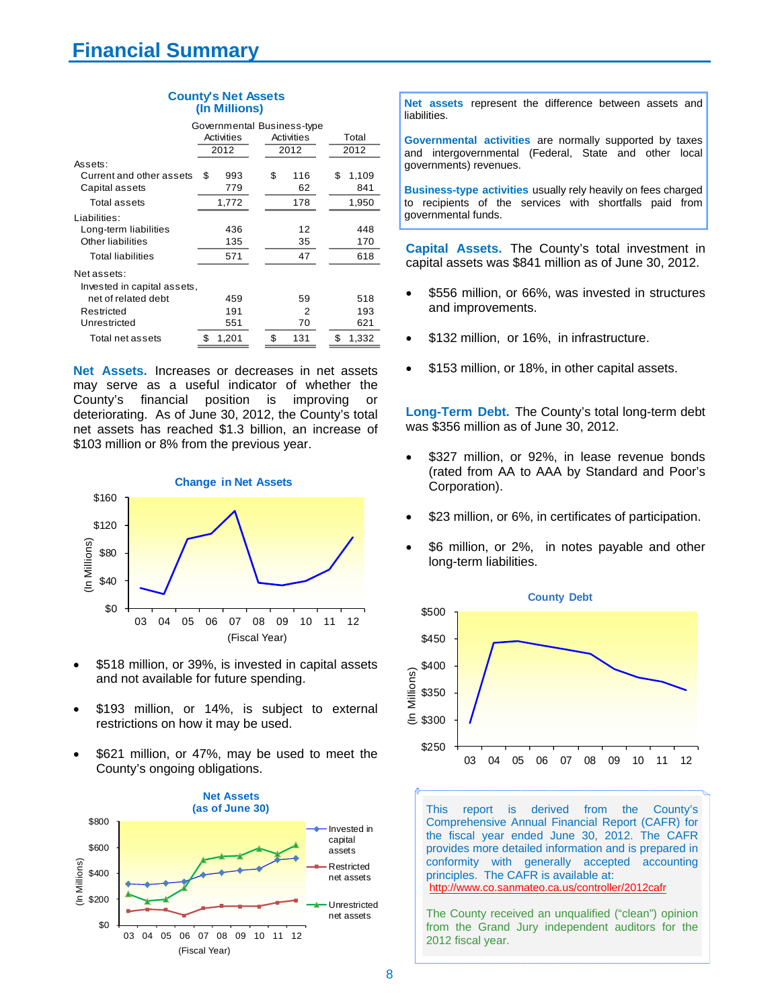| <b>County's Net Assets</b> |               |  |
|----------------------------|---------------|--|
|                            | (In Millions) |  |

|                             | Governmental Business-type |            |             |  |
|-----------------------------|----------------------------|------------|-------------|--|
|                             | Activities                 | Activities | Total       |  |
|                             | 2012                       | 2012       | 2012        |  |
| Assets:                     |                            |            |             |  |
| Current and other assets    | \$<br>993                  | \$<br>116  | \$<br>1,109 |  |
| Capital assets              | 779                        | 62         | 841         |  |
| Total assets                | 1,772                      | 178        | 1,950       |  |
| Liabilities:                |                            |            |             |  |
| Long-term liabilities       | 436                        | 12         | 448         |  |
| Other liabilities           | 135                        | 35         | 170         |  |
| <b>Total liabilities</b>    | 571                        | 47         | 618         |  |
| Net assets:                 |                            |            |             |  |
| Invested in capital assets, |                            |            |             |  |
| net of related debt         | 459                        | 59         | 518         |  |
| Restricted                  | 191                        | 2          | 193         |  |
| Unrestricted                | 551                        | 70         | 621         |  |
| Total net assets            | 1,201<br>\$                | S<br>131   | \$<br>1,332 |  |

**Net Assets.** Increases or decreases in net assets may serve as a useful indicator of whether the County's financial position is improving or deteriorating. As of June 30, 2012, the County's total net assets has reached \$1.3 billion, an increase of \$103 million or 8% from the previous year.



- \$518 million, or 39%, is invested in capital assets and not available for future spending.
- \$193 million, or 14%, is subject to external restrictions on how it may be used.
- \$621 million, or 47%, may be used to meet the County's ongoing obligations.



**Net assets** represent the difference between assets and liabilities.

**Governmental activities** are normally supported by taxes and intergovernmental (Federal, State and other local governments) revenues.

**Business-type activities** usually rely heavily on fees charged to recipients of the services with shortfalls paid from governmental funds.

**Capital Assets.** The County's total investment in capital assets was \$841 million as of June 30, 2012.

- \$556 million, or 66%, was invested in structures and improvements.
- \$132 million, or 16%, in infrastructure.
- \$153 million, or 18%, in other capital assets.

**Long-Term Debt.** The County's total long-term debt was \$356 million as of June 30, 2012.

- \$327 million, or 92%, in lease revenue bonds (rated from AA to AAA by Standard and Poor's Corporation).
- \$23 million, or 6%, in certificates of participation.
- \$6 million, or 2%, in notes payable and other long-term liabilities.



This report is derived from the County's Comprehensive Annual Financial Report (CAFR) for the fiscal year ended June 30, 2012. The CAFR provides more detailed information and is prepared in conformity with generally accepted accounting principles. The CAFR is available at: http://www.co.sanmateo.ca.us/controller/2012cafr

The County received an unqualified ("clean") opinion from the Grand Jury independent auditors for the 2012 fiscal year.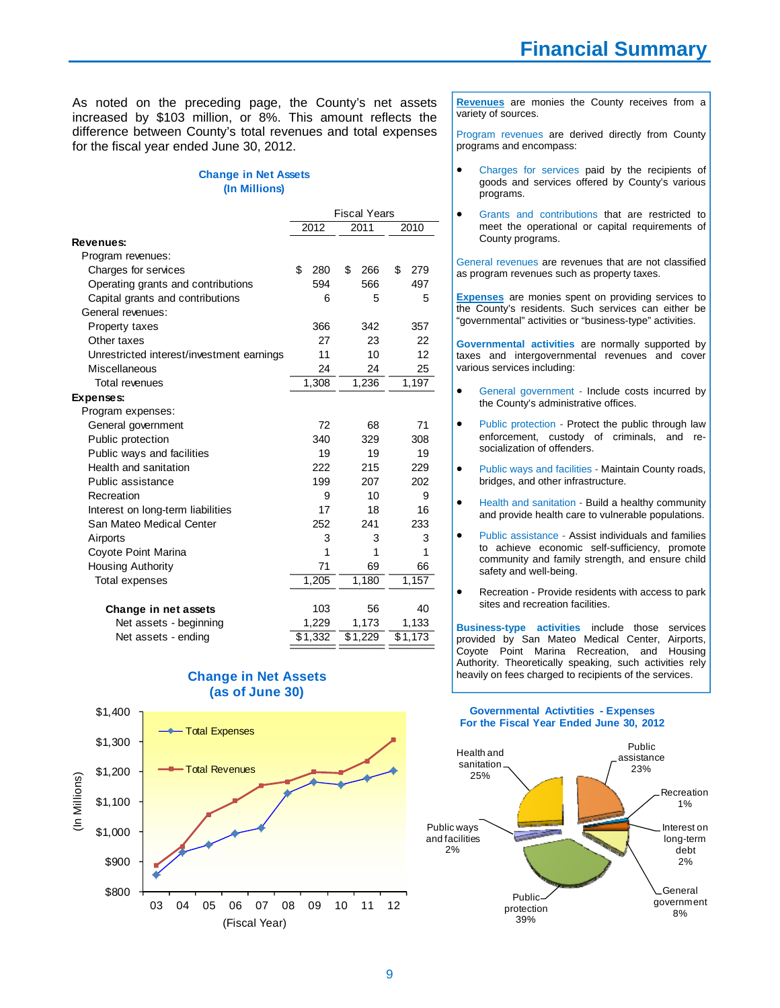As noted on the preceding page, the County's net assets increased by \$103 million, or 8%. This amount reflects the difference between County's total revenues and total expenses for the fiscal year ended June 30, 2012.

#### **(In Millions) Change in Net Assets**

|                                           | <b>Fiscal Years</b> |           |           |  |
|-------------------------------------------|---------------------|-----------|-----------|--|
|                                           | 2012                | 2011      | 2010      |  |
| Revenues:                                 |                     |           |           |  |
| Program revenues:                         |                     |           |           |  |
| Charges for services                      | \$<br>280           | \$<br>266 | \$<br>279 |  |
| Operating grants and contributions        | 594                 | 566       | 497       |  |
| Capital grants and contributions          | 6                   | 5         | 5         |  |
| General revenues:                         |                     |           |           |  |
| Property taxes                            | 366                 | 342       | 357       |  |
| Other taxes                               | 27                  | 23        | 22        |  |
| Unrestricted interest/investment earnings | 11                  | 10        | 12        |  |
| Miscellaneous                             | 24                  | 24        | 25        |  |
| Total revenues                            | 1,308               | 1,236     | 1,197     |  |
| <b>Expenses:</b>                          |                     |           |           |  |
| Program expenses:                         |                     |           |           |  |
| General government                        | 72                  | 68        | 71        |  |
| Public protection                         | 340                 | 329       | 308       |  |
| Public ways and facilities                | 19                  | 19        | 19        |  |
| Health and sanitation                     | 222                 | 215       | 229       |  |
| Public assistance                         | 199                 | 207       | 202       |  |
| Recreation                                | 9                   | 10        | 9         |  |
| Interest on long-term liabilities         | 17                  | 18        | 16        |  |
| San Mateo Medical Center                  | 252                 | 241       | 233       |  |
| Airports                                  | 3                   | 3         | 3         |  |
| Coyote Point Marina                       | 1                   | 1         | 1         |  |
| <b>Housing Authority</b>                  | 71                  | 69        | 66        |  |
| Total expenses                            | 1,205               | 1,180     | 1,157     |  |
| Change in net assets                      | 103                 | 56        | 40        |  |
| Net assets - beginning                    | 1,229               | 1,173     | 1,133     |  |
| Net assets - ending                       | \$1,332             | \$1,229   | \$1,173   |  |

**(as of June 30)** \$1,400 - Total Expenses \$1,300 Total Revenues\$1,200 (In Millions) (In Millions) \$1,100 \$1,000 \$900

**Change in Net Assets**

**Revenues** are monies the County receives from a variety of sources.

Program revenues are derived directly from County programs and encompass:

- Charges for services paid by the recipients of goods and services offered by County's various programs.
- Grants and contributions that are restricted to meet the operational or capital requirements of County programs.

General revenues are revenues that are not classified as program revenues such as property taxes.

**Expenses** are monies spent on providing services to the County's residents. Such services can either be "governmental" activities or "business-type" activities.

**Governmental activities** are normally supported by taxes and intergovernmental revenues and cover various services including:

- General government Include costs incurred by the County's administrative offices.
- Public protection Protect the public through law enforcement, custody of criminals, and resocialization of offenders.
- Public ways and facilities Maintain County roads, bridges, and other infrastructure.
- Health and sanitation Build a healthy community and provide health care to vulnerable populations.
- Public assistance Assist individuals and families to achieve economic self-sufficiency, promote community and family strength, and ensure child safety and well-being.
- Recreation Provide residents with access to park sites and recreation facilities.

**Business-type activities** include those services provided by San Mateo Medical Center, Airports, Coyote Point Marina Recreation, and Housing Authority. Theoretically speaking, such activities rely heavily on fees charged to recipients of the services.

#### **Governmental Activtities - Expenses For the Fiscal Year Ended June 30, 2012**



\$800 03 04 05 06 07 08 09 10 11 12 (Fiscal Year)